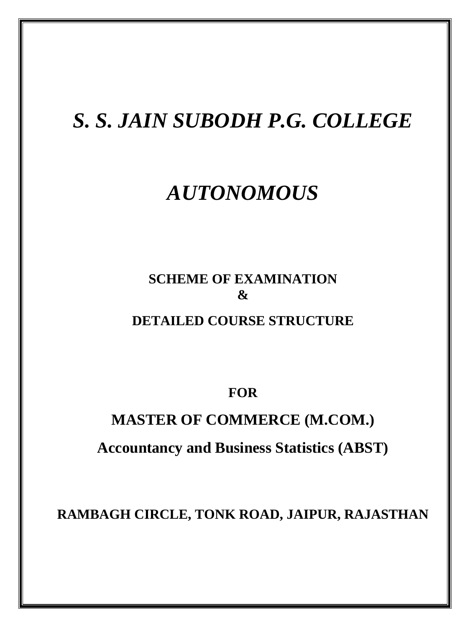# *S. S. JAIN SUBODH P.G. COLLEGE*

# *AUTONOMOUS*

## **SCHEME OF EXAMINATION & DETAILED COURSE STRUCTURE**

**FOR**

# **MASTER OF COMMERCE (M.COM.) Accountancy and Business Statistics (ABST)**

**RAMBAGH CIRCLE, TONK ROAD, JAIPUR, RAJASTHAN**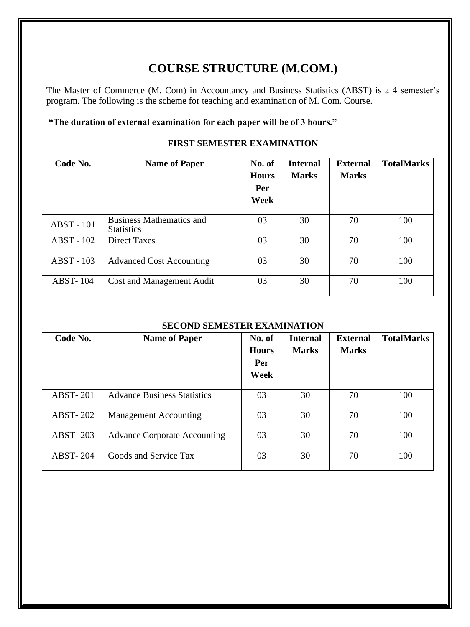### **COURSE STRUCTURE (M.COM.)**

The Master of Commerce (M. Com) in Accountancy and Business Statistics (ABST) is a 4 semester's program. The following is the scheme for teaching and examination of M. Com. Course.

#### **"The duration of external examination for each paper will be of 3 hours."**

#### **FIRST SEMESTER EXAMINATION**

| Code No.          | <b>Name of Paper</b>                                 | No. of<br><b>Hours</b><br>Per<br>Week | <b>Internal</b><br><b>Marks</b> | <b>External</b><br><b>Marks</b> | <b>TotalMarks</b> |
|-------------------|------------------------------------------------------|---------------------------------------|---------------------------------|---------------------------------|-------------------|
| <b>ABST</b> - 101 | <b>Business Mathematics and</b><br><b>Statistics</b> | 03                                    | 30                              | 70                              | 100               |
| ABST - 102        | <b>Direct Taxes</b>                                  | 03                                    | 30                              | 70                              | 100               |
| ABST - 103        | <b>Advanced Cost Accounting</b>                      | 03                                    | 30                              | 70                              | 100               |
| <b>ABST-104</b>   | <b>Cost and Management Audit</b>                     | 03                                    | 30                              | 70                              | 100               |

#### **SECOND SEMESTER EXAMINATION**

| Code No.        | <b>Name of Paper</b>                | No. of<br><b>Hours</b><br>Per<br>Week | <b>Internal</b><br><b>Marks</b> | <b>External</b><br><b>Marks</b> | <b>TotalMarks</b> |
|-----------------|-------------------------------------|---------------------------------------|---------------------------------|---------------------------------|-------------------|
| <b>ABST-201</b> | <b>Advance Business Statistics</b>  | 03                                    | 30                              | 70                              | 100               |
| <b>ABST-202</b> | <b>Management Accounting</b>        | 03                                    | 30                              | 70                              | 100               |
| <b>ABST-203</b> | <b>Advance Corporate Accounting</b> | 03                                    | 30                              | 70                              | 100               |
| <b>ABST-204</b> | Goods and Service Tax               | 03                                    | 30                              | 70                              | 100               |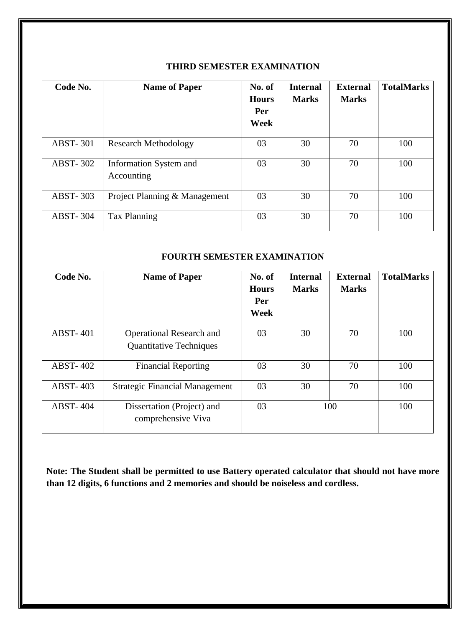| Code No.        | <b>Name of Paper</b>                 | No. of<br><b>Hours</b><br>Per<br>Week | <b>Internal</b><br><b>Marks</b> | <b>External</b><br><b>Marks</b> | <b>TotalMarks</b> |
|-----------------|--------------------------------------|---------------------------------------|---------------------------------|---------------------------------|-------------------|
| <b>ABST-301</b> | <b>Research Methodology</b>          | 03                                    | 30                              | 70                              | 100               |
| <b>ABST-302</b> | Information System and<br>Accounting | 03                                    | 30                              | 70                              | 100               |
| <b>ABST-303</b> | Project Planning & Management        | 03                                    | 30                              | 70                              | 100               |
| <b>ABST-304</b> | Tax Planning                         | 03                                    | 30                              | 70                              | 100               |

#### **THIRD SEMESTER EXAMINATION**

#### **FOURTH SEMESTER EXAMINATION**

| Code No.        | <b>Name of Paper</b>                                              | No. of<br><b>Hours</b><br>Per<br>Week | <b>Internal</b><br><b>Marks</b> | <b>External</b><br><b>Marks</b> | <b>TotalMarks</b> |
|-----------------|-------------------------------------------------------------------|---------------------------------------|---------------------------------|---------------------------------|-------------------|
| <b>ABST-401</b> | <b>Operational Research and</b><br><b>Quantitative Techniques</b> | 03                                    | 30                              | 70                              | 100               |
| <b>ABST-402</b> | <b>Financial Reporting</b>                                        | 03                                    | 30                              | 70                              | 100               |
| <b>ABST-403</b> | <b>Strategic Financial Management</b>                             | 03                                    | 30                              | 70                              | 100               |
| <b>ABST-404</b> | Dissertation (Project) and<br>comprehensive Viva                  | 03                                    |                                 | 100                             | 100               |

**Note: The Student shall be permitted to use Battery operated calculator that should not have more than 12 digits, 6 functions and 2 memories and should be noiseless and cordless.**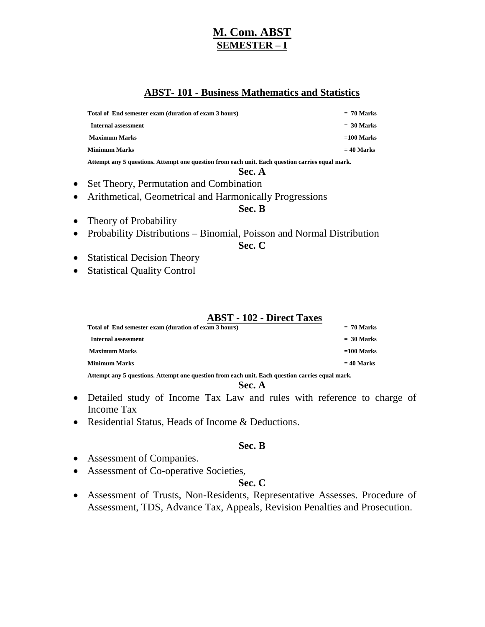### **M. Com. ABST SEMESTER – I**

#### **ABST- 101 - Business Mathematics and Statistics**

**Total of End semester exam (duration of exam 3 hours) = 70 Marks**

 **Internal assessment = 30 Marks Maximum Marks =100 Marks Minimum Marks = 40 Marks**

**Attempt any 5 questions. Attempt one question from each unit. Each question carries equal mark.**

#### **Sec. A**

- Set Theory, Permutation and Combination
- Arithmetical, Geometrical and Harmonically Progressions

#### **Sec. B**

- Theory of Probability
- Probability Distributions Binomial, Poisson and Normal Distribution

#### **Sec. C**

- Statistical Decision Theory
- Statistical Quality Control

#### **ABST - 102 - Direct Taxes**

| Total of End semester exam (duration of exam 3 hours)                                           | $= 70$ Marks |  |
|-------------------------------------------------------------------------------------------------|--------------|--|
| Internal assessment                                                                             | $= 30$ Marks |  |
| <b>Maximum Marks</b>                                                                            | $=100$ Marks |  |
| <b>Minimum Marks</b>                                                                            | $= 40$ Marks |  |
| Attempt any 5 questions. Attempt one question from each unit. Each question carries equal mark. |              |  |

**Sec. A**

- Detailed study of Income Tax Law and rules with reference to charge of Income Tax
- Residential Status, Heads of Income & Deductions.

#### **Sec. B**

- Assessment of Companies.
- Assessment of Co-operative Societies,

#### **Sec. C**

 Assessment of Trusts, Non-Residents, Representative Assesses. Procedure of Assessment, TDS, Advance Tax, Appeals, Revision Penalties and Prosecution.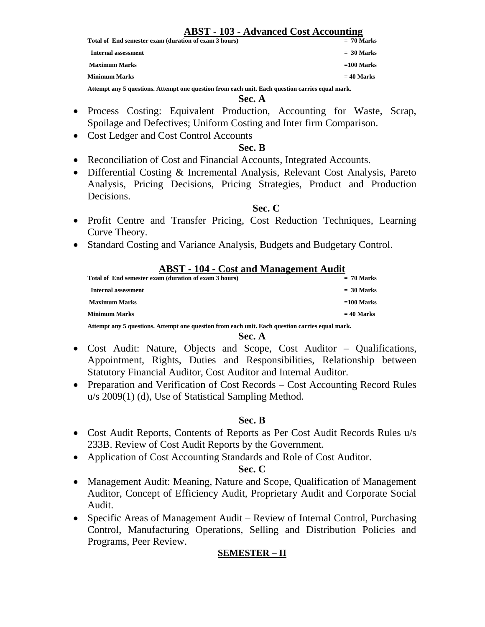### **ABST - 103 - Advanced Cost Accounting**

**Total of End semester exam (duration of exam 3 hours)** 

 **Internal assessment = 30 Marks Maximum Marks =100 Marks Minimum Marks = 40 Marks**

**Attempt any 5 questions. Attempt one question from each unit. Each question carries equal mark.**

#### **Sec. A**

- Process Costing: Equivalent Production, Accounting for Waste, Scrap, Spoilage and Defectives; Uniform Costing and Inter firm Comparison.
- Cost Ledger and Cost Control Accounts

#### **Sec. B**

- Reconciliation of Cost and Financial Accounts, Integrated Accounts.
- Differential Costing & Incremental Analysis, Relevant Cost Analysis, Pareto Analysis, Pricing Decisions, Pricing Strategies, Product and Production Decisions.

#### **Sec. C**

- Profit Centre and Transfer Pricing, Cost Reduction Techniques, Learning Curve Theory.
- Standard Costing and Variance Analysis, Budgets and Budgetary Control.

| <b>ABST</b> - 104 - Cost and Management Audit                                                   |              |  |
|-------------------------------------------------------------------------------------------------|--------------|--|
| Total of End semester exam (duration of exam 3 hours)                                           | $= 70$ Marks |  |
| <b>Internal assessment</b>                                                                      | $=$ 30 Marks |  |
| <b>Maximum Marks</b>                                                                            | $=100$ Marks |  |
| <b>Minimum Marks</b>                                                                            | $= 40$ Marks |  |
| Attempt any 5 questions. Attempt one question from each unit. Each question carries equal mark. |              |  |

#### **Sec. A**

- Cost Audit: Nature, Objects and Scope, Cost Auditor Qualifications, Appointment, Rights, Duties and Responsibilities, Relationship between Statutory Financial Auditor, Cost Auditor and Internal Auditor.
- Preparation and Verification of Cost Records Cost Accounting Record Rules u/s 2009(1) (d), Use of Statistical Sampling Method.

#### **Sec. B**

- Cost Audit Reports, Contents of Reports as Per Cost Audit Records Rules u/s 233B. Review of Cost Audit Reports by the Government.
- Application of Cost Accounting Standards and Role of Cost Auditor.

#### **Sec. C**

- Management Audit: Meaning, Nature and Scope, Qualification of Management Auditor, Concept of Efficiency Audit, Proprietary Audit and Corporate Social Audit.
- Specific Areas of Management Audit Review of Internal Control, Purchasing Control, Manufacturing Operations, Selling and Distribution Policies and Programs, Peer Review.

#### **SEMESTER – II**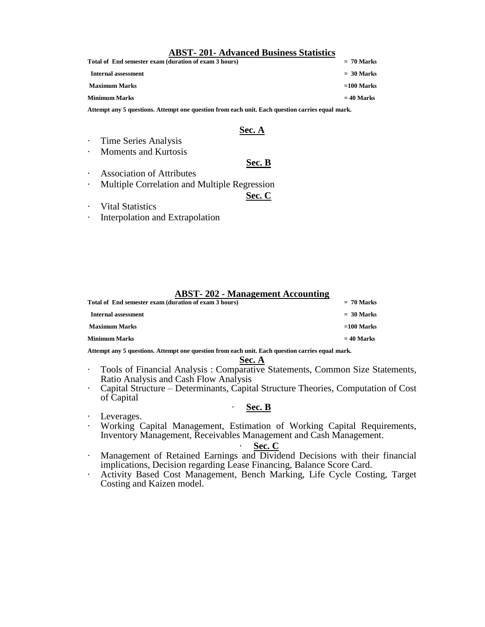#### **ABST- 201- Advanced Business Statistics**

| Total of End semester exam (duration of exam 3 hours) | $= 70$ Marks |
|-------------------------------------------------------|--------------|
| Internal assessment                                   | $= 30$ Marks |
| <b>Maximum Marks</b>                                  | $=100$ Marks |
| <b>Minimum Marks</b>                                  | $= 40$ Marks |
|                                                       |              |

**Attempt any 5 questions. Attempt one question from each unit. Each question carries equal mark.**

#### **Sec. A**

- · Time Series Analysis
- · Moments and Kurtosis

#### **Sec. B**

- · Association of Attributes
- · Multiple Correlation and Multiple Regression
	- **Sec. C**

- · Vital Statistics
- Interpolation and Extrapolation

#### **ABST- 202 - Management Accounting**

| Total of End semester exam (duration of exam 3 hours) | $= 70$ Marks |
|-------------------------------------------------------|--------------|
| Internal assessment                                   | $=$ 30 Marks |
| <b>Maximum Marks</b>                                  | $=100$ Marks |
| <b>Minimum Marks</b>                                  | $= 40$ Marks |

**Attempt any 5 questions. Attempt one question from each unit. Each question carries equal mark.**

#### **Sec. A**

- · Tools of Financial Analysis : Comparative Statements, Common Size Statements, Ratio Analysis and Cash Flow Analysis
- · Capital Structure Determinants, Capital Structure Theories, Computation of Cost of Capital

#### · **Sec. B**

- · Leverages.
- · Working Capital Management, Estimation of Working Capital Requirements, Inventory Management, Receivables Management and Cash Management.

#### · **Sec. C**

- · Management of Retained Earnings and Dividend Decisions with their financial implications, Decision regarding Lease Financing, Balance Score Card.
- · Activity Based Cost Management, Bench Marking, Life Cycle Costing, Target Costing and Kaizen model.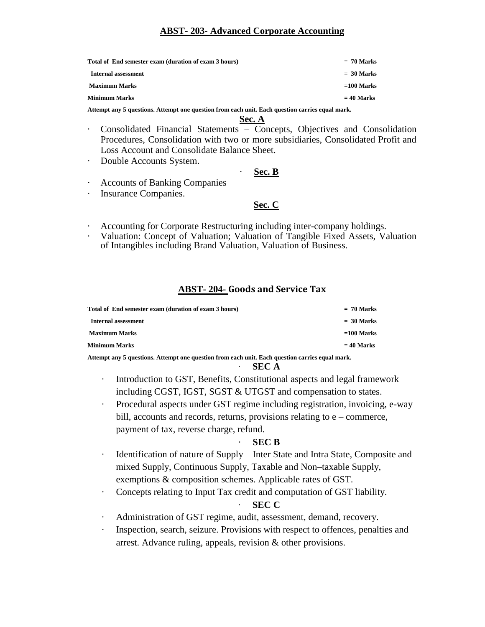#### **ABST- 203- Advanced Corporate Accounting**

| Total of End semester exam (duration of exam 3 hours) | $= 70$ Marks |
|-------------------------------------------------------|--------------|
| Internal assessment                                   | $= 30$ Marks |
| <b>Maximum Marks</b>                                  | $=100$ Marks |
| <b>Minimum Marks</b>                                  | $= 40$ Marks |

**Attempt any 5 questions. Attempt one question from each unit. Each question carries equal mark.**

#### **Sec. A**

- · Consolidated Financial Statements Concepts, Objectives and Consolidation Procedures, Consolidation with two or more subsidiaries, Consolidated Profit and Loss Account and Consolidate Balance Sheet.
- Double Accounts System.

#### · **Sec. B**

- Accounts of Banking Companies
- · Insurance Companies.

#### **Sec. C**

- Accounting for Corporate Restructuring including inter-company holdings.
- Valuation: Concept of Valuation; Valuation of Tangible Fixed Assets, Valuation of Intangibles including Brand Valuation, Valuation of Business.

#### **ABST- 204- Goods and Service Tax**

| Total of End semester exam (duration of exam 3 hours) | $= 70$ Marks |
|-------------------------------------------------------|--------------|
| Internal assessment                                   | $=$ 30 Marks |
| <b>Maximum Marks</b>                                  | $=100$ Marks |
| Minimum Marks                                         | $= 40$ Marks |
|                                                       |              |

**Attempt any 5 questions. Attempt one question from each unit. Each question carries equal mark.**

#### · **SEC A**

- · Introduction to GST, Benefits, Constitutional aspects and legal framework including CGST, IGST, SGST & UTGST and compensation to states.
- Procedural aspects under GST regime including registration, invoicing, e-way bill, accounts and records, returns, provisions relating to e – commerce, payment of tax, reverse charge, refund.

#### · **SEC B**

- Identification of nature of Supply Inter State and Intra State, Composite and mixed Supply, Continuous Supply, Taxable and Non–taxable Supply, exemptions & composition schemes. Applicable rates of GST.
- Concepts relating to Input Tax credit and computation of GST liability.

#### · **SEC C**

- Administration of GST regime, audit, assessment, demand, recovery.
- · Inspection, search, seizure. Provisions with respect to offences, penalties and arrest. Advance ruling, appeals, revision & other provisions.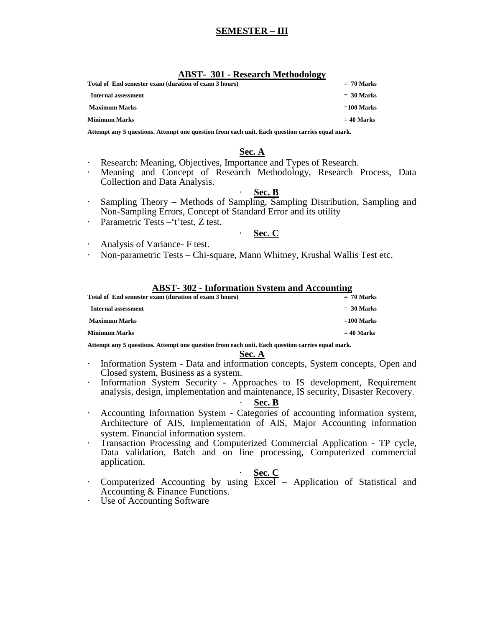#### **SEMESTER – III**

| <b>ABST- 301 - Research Methodology</b>               |              |
|-------------------------------------------------------|--------------|
| Total of End semester exam (duration of exam 3 hours) | $= 70$ Marks |
| Internal assessment                                   | $= 30$ Marks |

**Maximum Marks =100 Marks**

**Minimum Marks = 40 Marks**

**Attempt any 5 questions. Attempt one question from each unit. Each question carries equal mark.**

#### **Sec. A**

- Research: Meaning, Objectives, Importance and Types of Research.
- · Meaning and Concept of Research Methodology, Research Process, Data Collection and Data Analysis.

#### · **Sec. B**

- · Sampling Theory Methods of Sampling, Sampling Distribution, Sampling and Non-Sampling Errors, Concept of Standard Error and its utility
- Parametric Tests –'t'test, Z test.

#### · **Sec. C**

- Analysis of Variance- F test.
- · Non-parametric Tests Chi-square, Mann Whitney, Krushal Wallis Test etc.

#### **ABST- 302 - Information System and Accounting**

| Total of End semester exam (duration of exam 3 hours) | $= 70$ Marks |
|-------------------------------------------------------|--------------|
| Internal assessment                                   | $=$ 30 Marks |
| <b>Maximum Marks</b>                                  | $=100$ Marks |
| Minimum Marks                                         | $= 40$ Marks |

**Attempt any 5 questions. Attempt one question from each unit. Each question carries equal mark.**

#### **Sec. A**

- · Information System Data and information concepts, System concepts, Open and Closed system, Business as a system.
- Information System Security Approaches to IS development, Requirement analysis, design, implementation and maintenance, IS security, Disaster Recovery.

#### · **Sec. B**

- · Accounting Information System Categories of accounting information system, Architecture of AIS, Implementation of AIS, Major Accounting information system. Financial information system.
- · Transaction Processing and Computerized Commercial Application TP cycle, Data validation, Batch and on line processing, Computerized commercial application.

#### · **Sec. C**

- Computerized Accounting by using  $\frac{2.2625}{2.0626}$  Application of Statistical and Accounting & Finance Functions.
- Use of Accounting Software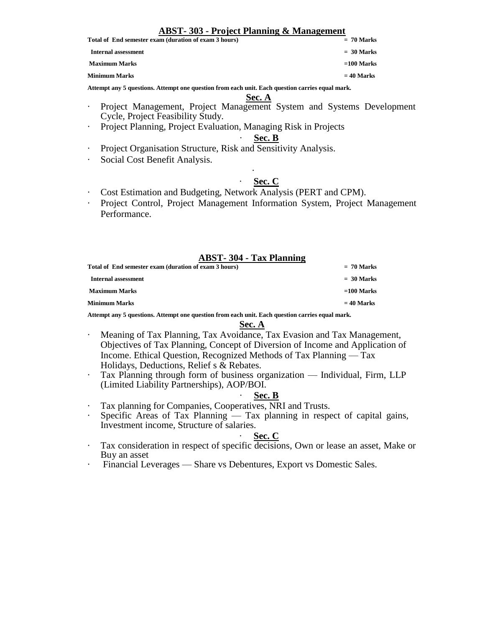#### **ABST- 303 - Project Planning & Management**

#### **Total of End semester exam (duration of exam 3 hours) = 70 Marks**

 **Internal assessment = 30 Marks**

**Maximum Marks =100 Marks**

**Minimum Marks = 40 Marks**

**Attempt any 5 questions. Attempt one question from each unit. Each question carries equal mark.**

- **Sec. A**
- · Project Management, Project Management System and Systems Development Cycle, Project Feasibility Study.
- Project Planning, Project Evaluation, Managing Risk in Projects

#### · **Sec. B**

- Project Organisation Structure, Risk and Sensitivity Analysis.
- Social Cost Benefit Analysis.

#### · **Sec. C**

- · Cost Estimation and Budgeting, Network Analysis (PERT and CPM).
- · Project Control, Project Management Information System, Project Management Performance.

·

#### **ABST- 304 - Tax Planning**

| Total of End semester exam (duration of exam 3 hours) | $= 70$ Marks |
|-------------------------------------------------------|--------------|
| Internal assessment                                   | $=$ 30 Marks |
| <b>Maximum Marks</b>                                  | $=100$ Marks |
| <b>Minimum Marks</b>                                  | $= 40$ Marks |

**Attempt any 5 questions. Attempt one question from each unit. Each question carries equal mark.**

#### **Sec. A**

- Meaning of Tax Planning, Tax Avoidance, Tax Evasion and Tax Management, Objectives of Tax Planning, Concept of Diversion of Income and Application of Income. Ethical Question, Recognized Methods of Tax Planning — Tax Holidays, Deductions, Relief s & Rebates.
- Tax Planning through form of business organization Individual, Firm, LLP (Limited Liability Partnerships), AOP/BOI.

#### · **Sec. B**

- · Tax planning for Companies, Cooperatives, NRI and Trusts.
- Specific Areas of Tax Planning Tax planning in respect of capital gains, Investment income, Structure of salaries.

#### Sec. C

- · Tax consideration in respect of specific decisions, Own or lease an asset, Make or Buy an asset
- · Financial Leverages Share vs Debentures, Export vs Domestic Sales.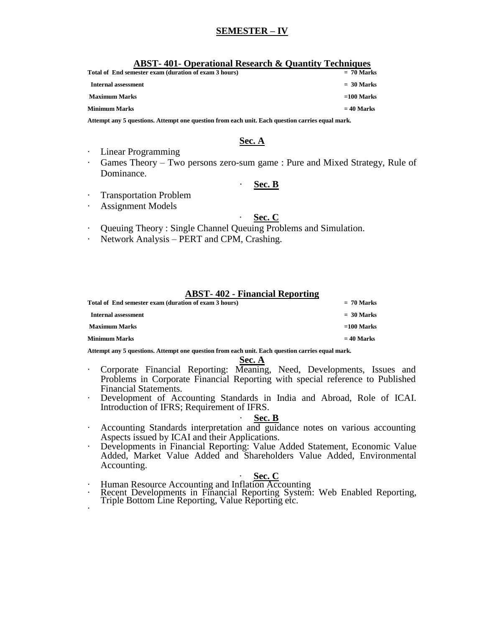#### **SEMESTER – IV**

| <b>ABST-401- Operational Research &amp; Quantity Techniques</b> |              |
|-----------------------------------------------------------------|--------------|
| Total of End semester exam (duration of exam 3 hours)           | $= 70$ Marks |
| Internal assessment                                             | $= 30$ Marks |
| <b>Maximum Marks</b>                                            | $=100$ Marks |
| <b>Minimum Marks</b>                                            | $= 40$ Marks |

**Attempt any 5 questions. Attempt one question from each unit. Each question carries equal mark.**

#### **Sec. A**

- · Linear Programming
- · Games Theory Two persons zero-sum game : Pure and Mixed Strategy, Rule of Dominance.

#### Sec. B

- **Transportation Problem**
- Assignment Models

#### Sec. C

- Queuing Theory : Single Channel Queuing Problems and Simulation.
- Network Analysis PERT and CPM, Crashing.

#### **ABST- 402 - Financial Reporting**

| Total of End semester exam (duration of exam 3 hours) | $= 70$ Marks |
|-------------------------------------------------------|--------------|
| Internal assessment                                   | $=$ 30 Marks |
| <b>Maximum Marks</b>                                  | $=100$ Marks |
| <b>Minimum Marks</b>                                  | $= 40$ Marks |

**Attempt any 5 questions. Attempt one question from each unit. Each question carries equal mark.**

#### **Sec. A**

- · Corporate Financial Reporting: Meaning, Need, Developments, Issues and Problems in Corporate Financial Reporting with special reference to Published Financial Statements.
- · Development of Accounting Standards in India and Abroad, Role of ICAI. Introduction of IFRS; Requirement of IFRS.

#### Sec. **B**

- · Accounting Standards interpretation and guidance notes on various accounting Aspects issued by ICAI and their Applications.
- · Developments in Financial Reporting: Value Added Statement, Economic Value Added, Market Value Added and Shareholders Value Added, Environmental Accounting.

#### · **Sec. C**

- · Human Resource Accounting and Inflation Accounting
- · Recent Developments in Financial Reporting System: Web Enabled Reporting, Triple Bottom Line Reporting, Value Reporting etc. ·